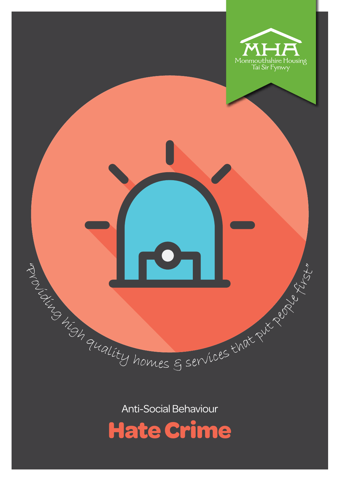

A CENTRALITY homes & services that put put is the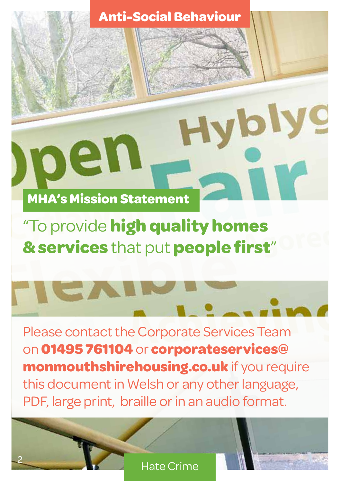Hyblyg

## **MHA's Mission Statement**

pen

2

## "To provide **high quality homes & services** that put **people first**"

Please contact the Corporate Services Team on **01495 761104** or **corporateservices@ monmouthshirehousing.co.uk** if you require this document in Welsh or any other language, PDF, large print, braille or in an audio format.

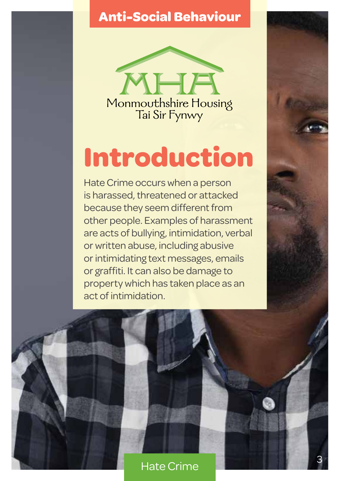

# **Introduction**

Hate Crime occurs when a person is harassed, threatened or attacked because they seem different from other people. Examples of harassment are acts of bullying, intimidation, verbal or written abuse, including abusive or intimidating text messages, emails or graffiti. It can also be damage to property which has taken place as an act of intimidation.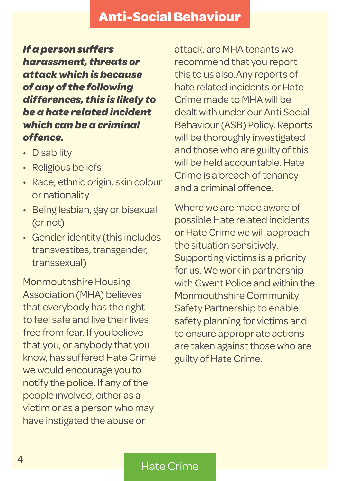*If a person suffers harassment, threats or attack which is because of any of the following differences, this is likely to be a hate related incident which can be a criminal offence.*

- Disability
- Religious beliefs
- Race, ethnic origin, skin colour or nationality
- Being lesbian, gay or bisexual (or not)
- Gender identity (this includes transvestites, transgender, transsexual)

Monmouthshire Housing Association (MHA) believes that everybody has the right to feel safe and live their lives free from fear. If you believe that you, or anybody that you know, has suffered Hate Crime we would encourage you to notify the police. If any of the people involved, either as a victim or as a person who may have instigated the abuse or

attack, are MHA tenants we recommend that you report this to us also.Any reports of hate related incidents or Hate Crime made to MHA will be dealt with under our Anti Social Behaviour (ASB) Policy. Reports will be thoroughly investigated and those who are guilty of this will be held accountable. Hate Crime is a breach of tenancy and a criminal offence.

Where we are made aware of possible Hate related incidents or Hate Crime we will approach the situation sensitively. Supporting victims is a priority for us. We work in partnership with Gwent Police and within the Monmouthshire Community Safety Partnership to enable safety planning for victims and to ensure appropriate actions are taken against those who are guilty of Hate Crime.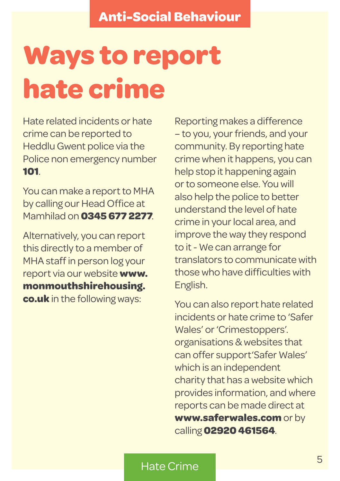# **Ways to report hate crime**

Hate related incidents or hate crime can be reported to Heddlu Gwent police via the Police non emergency number **101**.

You can make a report to MHA by calling our Head Office at Mamhilad on **0345 677 2277**.

Alternatively, you can report this directly to a member of MHA staff in person log your report via our website **www. monmouthshirehousing. co.uk** in the following ways:

Reporting makes a difference – to you, your friends, and your community. By reporting hate crime when it happens, you can help stop it happening again or to someone else. You will also help the police to better understand the level of hate crime in your local area, and improve the way they respond to it - We can arrange for translators to communicate with those who have difficulties with English.

You can also report hate related incidents or hate crime to 'Safer Wales' or 'Crimestoppers'. organisations & websites that can offer support'Safer Wales' which is an independent charity that has a website which provides information, and where reports can be made direct at **www.saferwales.com** or by calling **02920 461564**.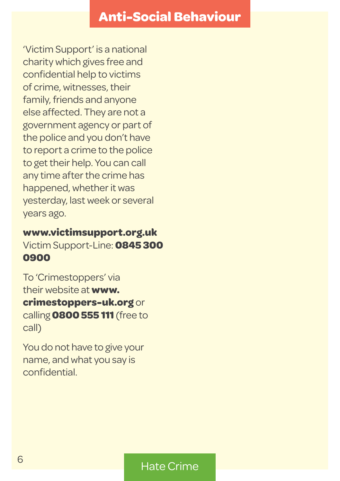'Victim Support' is a national charity which gives free and confidential help to victims of crime, witnesses, their family, friends and anyone else affected. They are not a government agency or part of the police and you don't have to report a crime to the police to get their help. You can call any time after the crime has happened, whether it was yesterday, last week or several years ago.

#### **www.victimsupport.org.uk**  Victim Support-Line: **0845 300 0900**

To 'Crimestoppers' via their website at **www. crimestoppers-uk.org** or calling **0800 555 111** (free to call)

You do not have to give your name, and what you say is confidential.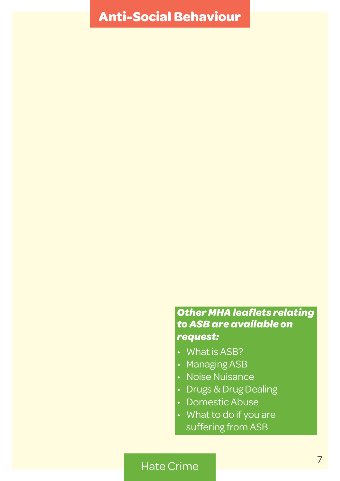#### *Other MHA leaflets relating to ASB are available on request:*

- What is ASB?
- Managing ASB
- Noise Nuisance
- Drugs & Drug Dealing
- Domestic Abuse
- What to do if you are suffering from ASB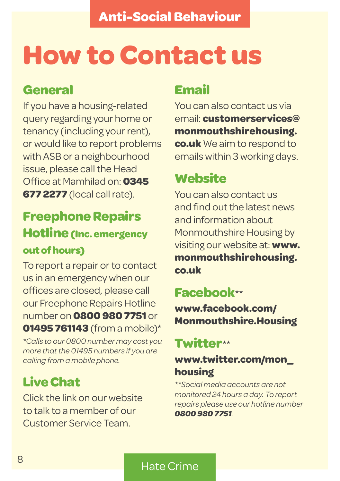## **How to Contact us**

### **General**

If you have a housing-related query regarding your home or tenancy (including your rent), or would like to report problems with ASB or a neighbourhood issue, please call the Head Office at Mamhilad on: **0345 677 2277** (local call rate).

## **Freephone Repairs Hotline (Inc. emergency out of hours)**

To report a repair or to contact us in an emergency when our offices are closed, please call our Freephone Repairs Hotline number on **0800 980 7751** or **01495 761143** (from a mobile)\*

*\*Calls to our 0800 number may cost you more that the 01495 numbers if you are calling from a mobile phone.*

## **Live Chat**

Click the link on our website to talk to a member of our Customer Service Team.

## **Email**

You can also contact us via email: **customerservices@ monmouthshirehousing. co.uk** We aim to respond to emails within 3 working days.

## **Website**

You can also contact us and find out the latest news and information about Monmouthshire Housing by visiting our website at: **www. monmouthshirehousing. co.uk**

### **Facebook***\*\**

**www.facebook.com/ Monmouthshire.Housing**

### **Twitter***\*\**

### **www.twitter.com/mon\_ housing**

*\*\*Social media accounts are not monitored 24 hours a day. To report repairs please use our hotline number 0800 980 7751.*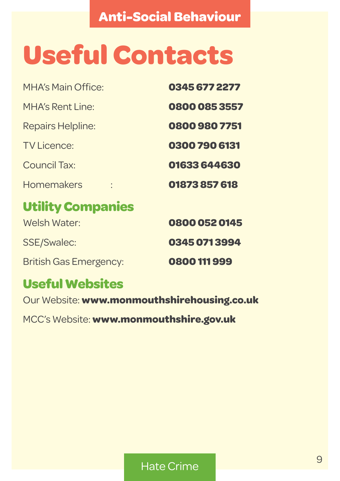# **Useful Contacts**

| 0345 677 2277 |
|---------------|
| 0800 085 3557 |
| 0800 980 7751 |
| 0300 790 6131 |
| 01633 644630  |
| 01873857618   |
|               |
| 0800 052 0145 |
| 0345 071 3994 |
| 0800 111 999  |
|               |

## **Useful Websites**

Our Website: **www.monmouthshirehousing.co.uk**

MCC's Website: **www.monmouthshire.gov.uk**